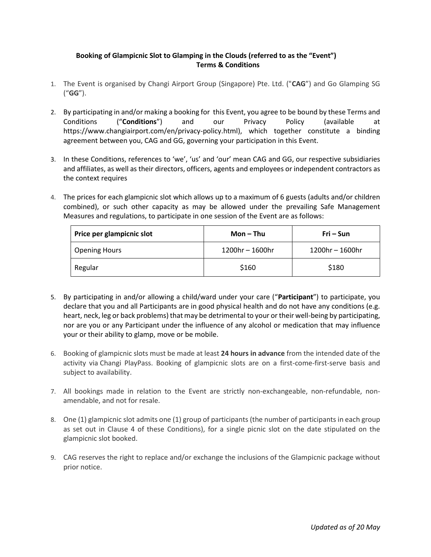## **Booking of Glampicnic Slot to Glamping in the Clouds (referred to as the "Event") Terms & Conditions**

- 1. The Event is organised by Changi Airport Group (Singapore) Pte. Ltd. ("**CAG**") and Go Glamping SG ("**GG**").
- 2. By participating in and/or making a booking for this Event, you agree to be bound by these Terms and Conditions ("**Conditions**") and our Privacy Policy (available at https://www.changiairport.com/en/privacy-policy.html), which together constitute a binding agreement between you, CAG and GG, governing your participation in this Event.
- 3. In these Conditions, references to 'we', 'us' and 'our' mean CAG and GG, our respective subsidiaries and affiliates, as well as their directors, officers, agents and employees or independent contractors as the context requires
- 4. The prices for each glampicnic slot which allows up to a maximum of 6 guests (adults and/or children combined), or such other capacity as may be allowed under the prevailing Safe Management Measures and regulations, to participate in one session of the Event are as follows:

| Price per glampicnic slot | $Mon - Thu$       | Fri – Sun       |
|---------------------------|-------------------|-----------------|
| <b>Opening Hours</b>      | $1200hr - 1600hr$ | 1200hr – 1600hr |
| Regular                   | \$160             | \$180           |

- 5. By participating in and/or allowing a child/ward under your care ("**Participant**") to participate, you declare that you and all Participants are in good physical health and do not have any conditions (e.g. heart, neck, leg or back problems) that may be detrimental to your or their well-being by participating, nor are you or any Participant under the influence of any alcohol or medication that may influence your or their ability to glamp, move or be mobile.
- 6. Booking of glampicnic slots must be made at least **24 hours in advance** from the intended date of the activity via Changi PlayPass. Booking of glampicnic slots are on a first-come-first-serve basis and subject to availability.
- 7. All bookings made in relation to the Event are strictly non-exchangeable, non-refundable, nonamendable, and not for resale.
- 8. One (1) glampicnic slot admits one (1) group of participants (the number of participants in each group as set out in Clause 4 of these Conditions), for a single picnic slot on the date stipulated on the glampicnic slot booked.
- 9. CAG reserves the right to replace and/or exchange the inclusions of the Glampicnic package without prior notice.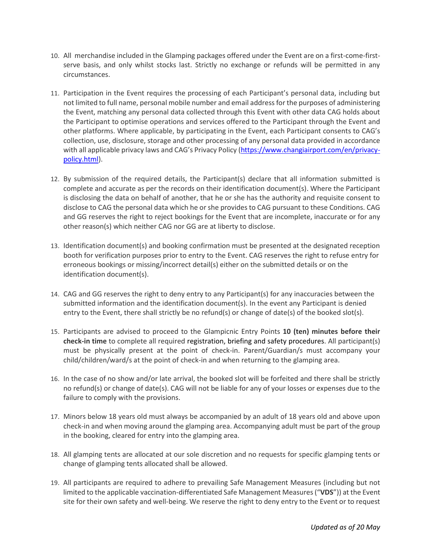- 10. All merchandise included in the Glamping packages offered under the Event are on a first-come-firstserve basis, and only whilst stocks last. Strictly no exchange or refunds will be permitted in any circumstances.
- 11. Participation in the Event requires the processing of each Participant's personal data, including but not limited to full name, personal mobile number and email addressfor the purposes of administering the Event, matching any personal data collected through this Event with other data CAG holds about the Participant to optimise operations and services offered to the Participant through the Event and other platforms. Where applicable, by participating in the Event, each Participant consents to CAG's collection, use, disclosure, storage and other processing of any personal data provided in accordance with all applicable privacy laws and CAG's Privacy Policy ([https://www.changiairport.com/en/privacy](https://www.changiairport.com/en/privacy-policy.html)[policy.html\)](https://www.changiairport.com/en/privacy-policy.html).
- 12. By submission of the required details, the Participant(s) declare that all information submitted is complete and accurate as per the records on their identification document(s). Where the Participant is disclosing the data on behalf of another, that he or she has the authority and requisite consent to disclose to CAG the personal data which he or she provides to CAG pursuant to these Conditions. CAG and GG reserves the right to reject bookings for the Event that are incomplete, inaccurate or for any other reason(s) which neither CAG nor GG are at liberty to disclose.
- 13. Identification document(s) and booking confirmation must be presented at the designated reception booth for verification purposes prior to entry to the Event. CAG reserves the right to refuse entry for erroneous bookings or missing/incorrect detail(s) either on the submitted details or on the identification document(s).
- 14. CAG and GG reserves the right to deny entry to any Participant(s) for any inaccuracies between the submitted information and the identification document(s). In the event any Participant is denied entry to the Event, there shall strictly be no refund(s) or change of date(s) of the booked slot(s).
- 15. Participants are advised to proceed to the Glampicnic Entry Points **10 (ten) minutes before their check-in time** to complete all required registration, briefing and safety procedures. All participant(s) must be physically present at the point of check-in. Parent/Guardian/s must accompany your child/children/ward/s at the point of check-in and when returning to the glamping area.
- 16. In the case of no show and/or late arrival, the booked slot will be forfeited and there shall be strictly no refund(s) or change of date(s). CAG will not be liable for any of your losses or expenses due to the failure to comply with the provisions.
- 17. Minors below 18 years old must always be accompanied by an adult of 18 years old and above upon check-in and when moving around the glamping area. Accompanying adult must be part of the group in the booking, cleared for entry into the glamping area.
- 18. All glamping tents are allocated at our sole discretion and no requests for specific glamping tents or change of glamping tents allocated shall be allowed.
- 19. All participants are required to adhere to prevailing Safe Management Measures (including but not limited to the applicable vaccination-differentiated Safe Management Measures("**VDS**")) at the Event site for their own safety and well-being. We reserve the right to deny entry to the Event or to request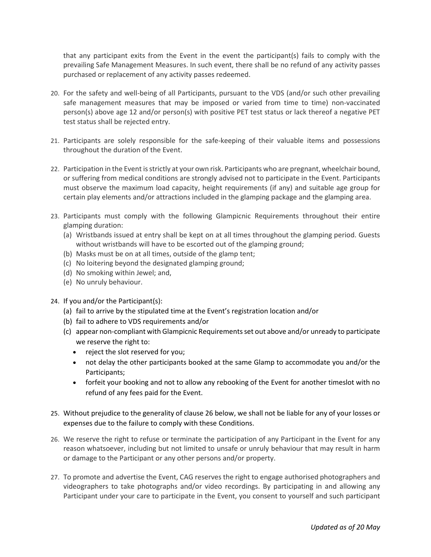that any participant exits from the Event in the event the participant(s) fails to comply with the prevailing Safe Management Measures. In such event, there shall be no refund of any activity passes purchased or replacement of any activity passes redeemed.

- 20. For the safety and well-being of all Participants, pursuant to the VDS (and/or such other prevailing safe management measures that may be imposed or varied from time to time) non-vaccinated person(s) above age 12 and/or person(s) with positive PET test status or lack thereof a negative PET test status shall be rejected entry.
- 21. Participants are solely responsible for the safe-keeping of their valuable items and possessions throughout the duration of the Event.
- 22. Participation in the Event is strictly at your own risk. Participants who are pregnant, wheelchair bound, or suffering from medical conditions are strongly advised not to participate in the Event. Participants must observe the maximum load capacity, height requirements (if any) and suitable age group for certain play elements and/or attractions included in the glamping package and the glamping area.
- 23. Participants must comply with the following Glampicnic Requirements throughout their entire glamping duration:
	- (a) Wristbands issued at entry shall be kept on at all times throughout the glamping period. Guests without wristbands will have to be escorted out of the glamping ground;
	- (b) Masks must be on at all times, outside of the glamp tent;
	- (c) No loitering beyond the designated glamping ground;
	- (d) No smoking within Jewel; and,
	- (e) No unruly behaviour.
- 24. If you and/or the Participant(s):
	- (a) fail to arrive by the stipulated time at the Event's registration location and/or
	- (b) fail to adhere to VDS requirements and/or
	- (c) appear non-compliant with Glampicnic Requirementsset out above and/or unready to participate we reserve the right to:
		- reject the slot reserved for you;
		- not delay the other participants booked at the same Glamp to accommodate you and/or the Participants;
		- forfeit your booking and not to allow any rebooking of the Event for another timeslot with no refund of any fees paid for the Event.
- 25. Without prejudice to the generality of clause 26 below, we shall not be liable for any of your losses or expenses due to the failure to comply with these Conditions.
- 26. We reserve the right to refuse or terminate the participation of any Participant in the Event for any reason whatsoever, including but not limited to unsafe or unruly behaviour that may result in harm or damage to the Participant or any other persons and/or property.
- 27. To promote and advertise the Event, CAG reserves the right to engage authorised photographers and videographers to take photographs and/or video recordings. By participating in and allowing any Participant under your care to participate in the Event, you consent to yourself and such participant